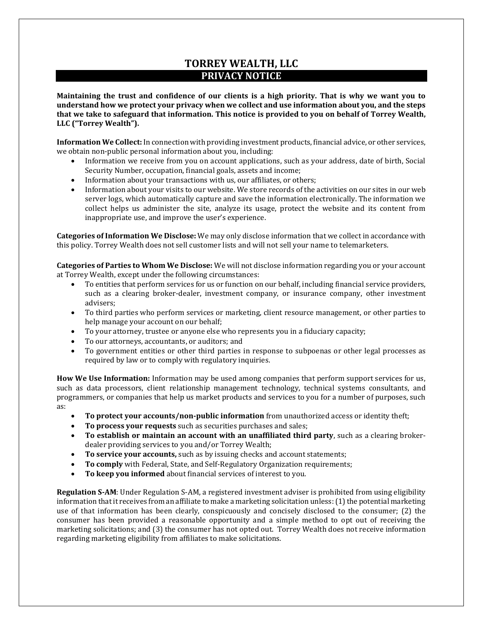## **TORREY WEALTH, LLC PRIVACY NOTICE**

**Maintaining the trust and confidence of our clients is a high priority. That is why we want you to understand how we protect your privacy when we collect and use information about you, and the steps that we take to safeguard that information. This notice is provided to you on behalf of Torrey Wealth, LLC ("Torrey Wealth").**

**Information We Collect:** In connection with providing investment products, financial advice, or other services, we obtain non-public personal information about you, including:

- Information we receive from you on account applications, such as your address, date of birth, Social Security Number, occupation, financial goals, assets and income;
- Information about your transactions with us, our affiliates, or others;
- Information about your visits to our website. We store records of the activities on our sites in our web server logs, which automatically capture and save the information electronically. The information we collect helps us administer the site, analyze its usage, protect the website and its content from inappropriate use, and improve the user's experience.

**Categories of Information We Disclose:** We may only disclose information that we collect in accordance with this policy. Torrey Wealth does not sell customer lists and will not sell your name to telemarketers.

**Categories of Parties to Whom We Disclose:** We will not disclose information regarding you or your account at Torrey Wealth, except under the following circumstances:

- To entities that perform services for us or function on our behalf, including financial service providers, such as a clearing broker-dealer, investment company, or insurance company, other investment advisers;
- To third parties who perform services or marketing, client resource management, or other parties to help manage your account on our behalf;
- To your attorney, trustee or anyone else who represents you in a fiduciary capacity;
- To our attorneys, accountants, or auditors; and
- To government entities or other third parties in response to subpoenas or other legal processes as required by law or to comply with regulatory inquiries.

**How We Use Information:** Information may be used among companies that perform support services for us, such as data processors, client relationship management technology, technical systems consultants, and programmers, or companies that help us market products and services to you for a number of purposes, such as:

- **To protect your accounts/non-public information** from unauthorized access or identity theft;
- **To process your requests** such as securities purchases and sales;
- **To establish or maintain an account with an unaffiliated third party**, such as a clearing brokerdealer providing services to you and/or Torrey Wealth;
- **To service your accounts,** such as by issuing checks and account statements;
- **To comply** with Federal, State, and Self-Regulatory Organization requirements;
- **To keep you informed** about financial services of interest to you.

**Regulation S-AM**: Under Regulation S-AM, a registered investment adviser is prohibited from using eligibility information that it receives from an affiliate to make a marketing solicitation unless: (1) the potential marketing use of that information has been clearly, conspicuously and concisely disclosed to the consumer; (2) the consumer has been provided a reasonable opportunity and a simple method to opt out of receiving the marketing solicitations; and (3) the consumer has not opted out. Torrey Wealth does not receive information regarding marketing eligibility from affiliates to make solicitations.